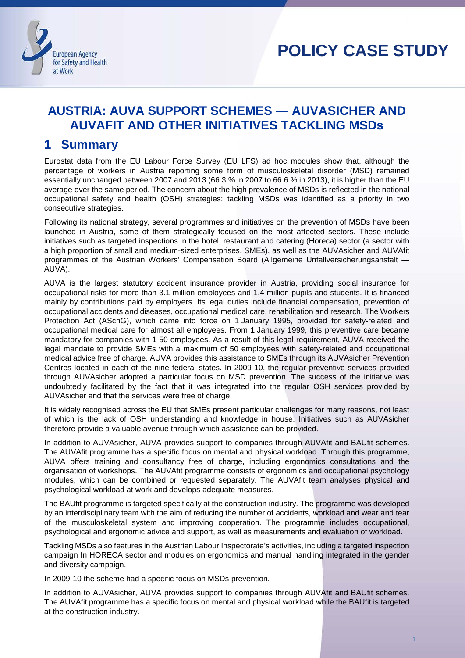

# **POLICY CASE STUDY**

Policy Case Study Case Study Case

## **AUSTRIA: AUVA SUPPORT SCHEMES — AUVASICHER AND AUVAFIT AND OTHER INITIATIVES TACKLING MSDs**

## **1 Summary**

Eurostat data from the EU Labour Force Survey (EU LFS) ad hoc modules show that, although the percentage of workers in Austria reporting some form of musculoskeletal disorder (MSD) remained essentially unchanged between 2007 and 2013 (66.3 % in 2007 to 66.6 % in 2013), it is higher than the EU average over the same period. The concern about the high prevalence of MSDs is reflected in the national occupational safety and health (OSH) strategies: tackling MSDs was identified as a priority in two consecutive strategies.

Following its national strategy, several programmes and initiatives on the prevention of MSDs have been launched in Austria, some of them strategically focused on the most affected sectors. These include initiatives such as targeted inspections in the hotel, restaurant and catering (Horeca) sector (a sector with a high proportion of small and medium-sized enterprises, SMEs), as well as the AUVAsicher and AUVAfit programmes of the Austrian Workers' Compensation Board (Allgemeine Unfallversicherungsanstalt — AUVA).

AUVA is the largest statutory accident insurance provider in Austria, providing social insurance for occupational risks for more than 3.1 million employees and 1.4 million pupils and students. It is financed mainly by contributions paid by employers. Its legal duties include financial compensation, prevention of occupational accidents and diseases, occupational medical care, rehabilitation and research. The Workers Protection Act (ASchG), which came into force on 1 January 1995, provided for safety-related and occupational medical care for almost all employees. From 1 January 1999, this preventive care became mandatory for companies with 1-50 employees. As a result of this legal requirement, AUVA received the legal mandate to provide SMEs with a maximum of 50 employees with safety-related and occupational medical advice free of charge. AUVA provides this assistance to SMEs through its AUVAsicher Prevention Centres located in each of the nine federal states. In 2009-10, the regular preventive services provided through AUVAsicher adopted a particular focus on MSD prevention. The success of the initiative was undoubtedly facilitated by the fact that it was integrated into the regular OSH services provided by AUVAsicher and that the services were free of charge.

It is widely recognised across the EU that SMEs present particular challenges for many reasons, not least of which is the lack of OSH understanding and knowledge in house. Initiatives such as AUVAsicher therefore provide a valuable avenue through which assistance can be provided.

In addition to AUVAsicher, AUVA provides support to companies through AUVAfit and BAUfit schemes. The AUVAfit programme has a specific focus on mental and physical workload. Through this programme, AUVA offers training and consultancy free of charge, including ergonomics consultations and the organisation of workshops. The AUVAfit programme consists of ergonomics and occupational psychology modules, which can be combined or requested separately. The AUVAfit team analyses physical and psychological workload at work and develops adequate measures.

The BAUfit programme is targeted specifically at the construction industry. The programme was developed by an interdisciplinary team with the aim of reducing the number of accidents, workload and wear and tear of the musculoskeletal system and improving cooperation. The programme includes occupational, psychological and ergonomic advice and support, as well as measurements and evaluation of workload.

Tackling MSDs also features in the Austrian Labour Inspectorate's activities, including a targeted inspection campaign In HORECA sector and modules on ergonomics and manual handling integrated in the gender and diversity campaign.

In 2009-10 the scheme had a specific focus on MSDs prevention.

In addition to AUVAsicher, AUVA provides support to companies through AUVAfit and BAUfit schemes. The AUVAfit programme has a specific focus on mental and physical workload while the BAUfit is targeted at the construction industry.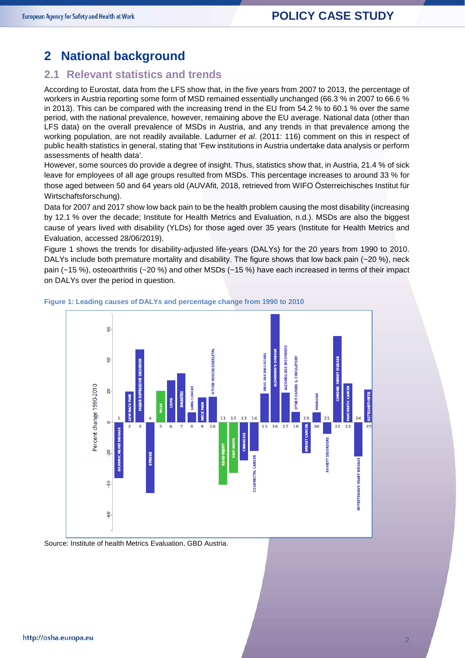## **2 National background**

#### **2.1 Relevant statistics and trends**

According to Eurostat, data from the LFS show that, in the five years from 2007 to 2013, the percentage of workers in Austria reporting some form of MSD remained essentially unchanged (66.3 % in 2007 to 66.6 % in 2013). This can be compared with the increasing trend in the EU from 54.2 % to 60.1 % over the same period, with the national prevalence, however, remaining above the EU average. National data (other than LFS data) on the overall prevalence of MSDs in Austria, and any trends in that prevalence among the working population, are not readily available. Ladurner *et al*. (2011: 116) comment on this in respect of public health statistics in general, stating that 'Few institutions in Austria undertake data analysis or perform assessments of health data'.

However, some sources do provide a degree of insight. Thus, statistics show that, in Austria, 21.4 % of sick leave for employees of all age groups resulted from MSDs. This percentage increases to around 33 % for those aged between 50 and 64 years old (AUVAfit, 2018, retrieved from WIFO Österreichisches Institut für Wirtschaftsforschung).

Data for 2007 and 2017 show low back pain to be the health problem causing the most disability (increasing by 12.1 % over the decade; Institute for Health Metrics and Evaluation, n.d.). MSDs are also the biggest cause of years lived with disability (YLDs) for those aged over 35 years (Institute for Health Metrics and Evaluation, accessed 28/06/2019).

Figure 1 shows the trends for disability-adjusted life-years (DALYs) for the 20 years from 1990 to 2010. DALYs include both premature mortality and disability. The figure shows that low back pain (~20 %), neck pain (~15 %), osteoarthritis (~20 %) and other MSDs (~15 %) have each increased in terms of their impact on DALYs over the period in question.



**Figure 1: Leading causes of DALYs and percentage change from 1990 to 2010**

Source: Institute of health Metrics Evaluation, GBD Austria.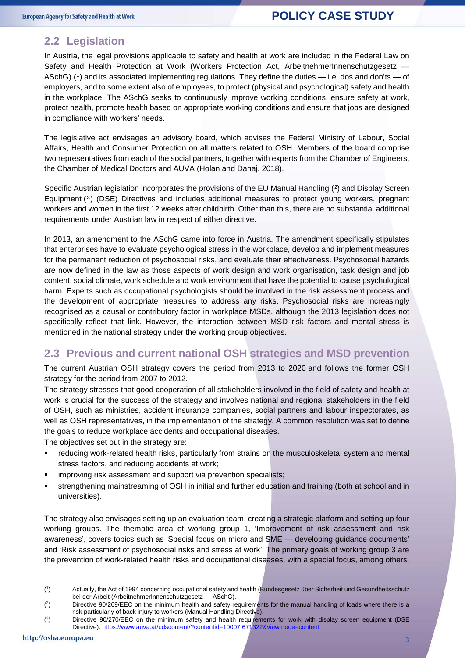#### **2.2 Legislation**

In Austria, the legal provisions applicable to safety and health at work are included in the Federal Law on Safety and Health Protection at Work (Workers Protection Act, ArbeitnehmerInnenschutzgesetz -ASchG) ([1\)](#page-2-0) and its associated implementing regulations. They define the duties — i.e. dos and don'ts — of employers, and to some extent also of employees, to protect (physical and psychological) safety and health in the workplace. The ASchG seeks to continuously improve working conditions, ensure safety at work, protect health, promote health based on appropriate working conditions and ensure that jobs are designed in compliance with workers' needs.

The legislative act envisages an advisory board, which advises the Federal Ministry of Labour, Social Affairs, Health and Consumer Protection on all matters related to OSH. Members of the board comprise two representatives from each of the social partners, together with experts from the Chamber of Engineers, the Chamber of Medical Doctors and AUVA (Holan and Danaj, 2018).

Specific Austrian legislation incorporates the provisions of the EU Manual Handling (<sup>2</sup>) and Display Screen Equipment  $(3)$  $(3)$  $(3)$  (DSE) Directives and includes additional measures to protect young workers, pregnant workers and women in the first 12 weeks after childbirth. Other than this, there are no substantial additional requirements under Austrian law in respect of either directive.

In 2013, an amendment to the ASchG came into force in Austria. The amendment specifically stipulates that enterprises have to evaluate psychological stress in the workplace, develop and implement measures for the permanent reduction of psychosocial risks, and evaluate their effectiveness. Psychosocial hazards are now defined in the law as those aspects of work design and work organisation, task design and job content, social climate, work schedule and work environment that have the potential to cause psychological harm. Experts such as occupational psychologists should be involved in the risk assessment process and the development of appropriate measures to address any risks. Psychosocial risks are increasingly recognised as a causal or contributory factor in workplace MSDs, although the 2013 legislation does not specifically reflect that link. However, the interaction between MSD risk factors and mental stress is mentioned in the national strategy under the working group objectives.

#### **2.3 Previous and current national OSH strategies and MSD prevention**

The current Austrian OSH strategy covers the period from 2013 to 2020 and follows the former OSH strategy for the period from 2007 to 2012.

The strategy stresses that good cooperation of all stakeholders involved in the field of safety and health at work is crucial for the success of the strategy and involves national and regional stakeholders in the field of OSH, such as ministries, accident insurance companies, social partners and labour inspectorates, as well as OSH representatives, in the implementation of the strategy. A common resolution was set to define the goals to reduce workplace accidents and occupational diseases.

The objectives set out in the strategy are:

- reducing work-related health risks, particularly from strains on the musculoskeletal system and mental stress factors, and reducing accidents at work;
- improving risk assessment and support via prevention specialists;
- strengthening mainstreaming of OSH in initial and further education and training (both at school and in universities).

The strategy also envisages setting up an evaluation team, creating a strategic platform and setting up four working groups. The thematic area of working group 1, 'Improvement of risk assessment and risk awareness', covers topics such as 'Special focus on micro and SME — developing guidance documents' and 'Risk assessment of psychosocial risks and stress at work'. The primary goals of working group 3 are the prevention of work-related health risks and occupational diseases, with a special focus, among others,

-

<span id="page-2-0"></span> $($ <sup>1</sup> ) Actually, the Act of 1994 concerning occupational safety and health (Bundesgesetz über Sicherheit und Gesundheitsschutz bei der Arbeit (ArbeitnehmerInnenschutzgesetz — ASchG).

<span id="page-2-1"></span> $(2)$ ) Directive 90/269/EEC on the minimum health and safety requirements for the manual handling of loads where there is a risk particularly of back injury to workers (Manual Handling Directive).

<span id="page-2-2"></span><sup>(</sup> 3 ) Directive 90/270/EEC on the minimum safety and health requirements for work with display screen equipment (DSE Directive). <https://www.auva.at/cdscontent/?contentid=10007.671322&viewmode=content>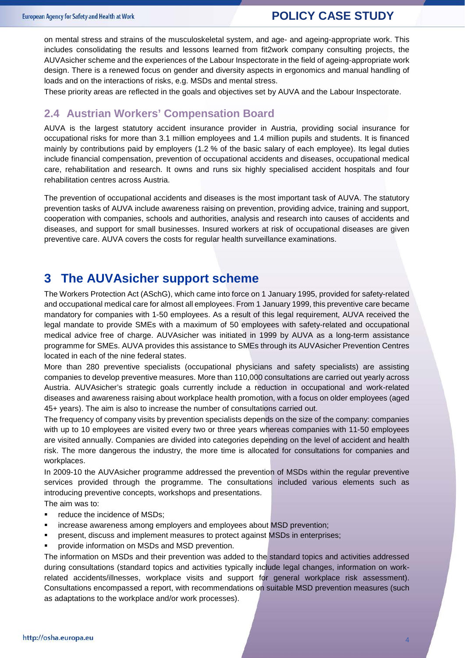#### **POLICY CASE STUDY**

on mental stress and strains of the musculoskeletal system, and age- and ageing-appropriate work. This includes consolidating the results and lessons learned from fit2work company consulting projects, the AUVAsicher scheme and the experiences of the Labour Inspectorate in the field of ageing-appropriate work design. There is a renewed focus on gender and diversity aspects in ergonomics and manual handling of loads and on the interactions of risks, e.g. MSDs and mental stress.

These priority areas are reflected in the goals and objectives set by AUVA and the Labour Inspectorate.

#### **2.4 Austrian Workers' Compensation Board**

AUVA is the largest statutory accident insurance provider in Austria, providing social insurance for occupational risks for more than 3.1 million employees and 1.4 million pupils and students. It is financed mainly by contributions paid by employers (1.2 % of the basic salary of each employee). Its legal duties include financial compensation, prevention of occupational accidents and diseases, occupational medical care, rehabilitation and research. It owns and runs six highly specialised accident hospitals and four rehabilitation centres across Austria.

The prevention of occupational accidents and diseases is the most important task of AUVA. The statutory prevention tasks of AUVA include awareness raising on prevention, providing advice, training and support, cooperation with companies, schools and authorities, analysis and research into causes of accidents and diseases, and support for small businesses. Insured workers at risk of occupational diseases are given preventive care. AUVA covers the costs for regular health surveillance examinations.

### **3 The AUVAsicher support scheme**

The Workers Protection Act (ASchG), which came into force on 1 January 1995, provided for safety-related and occupational medical care for almost all employees. From 1 January 1999, this preventive care became mandatory for companies with 1-50 employees. As a result of this legal requirement, AUVA received the legal mandate to provide SMEs with a maximum of 50 employees with safety-related and occupational medical advice free of charge. AUVAsicher was initiated in 1999 by AUVA as a long-term assistance programme for SMEs. AUVA provides this assistance to SMEs through its AUVAsicher Prevention Centres located in each of the nine federal states.

More than 280 preventive specialists (occupational physicians and safety specialists) are assisting companies to develop preventive measures. More than 110,000 consultations are carried out yearly across Austria. AUVAsicher's strategic goals currently include a reduction in occupational and work-related diseases and awareness raising about workplace health promotion, with a focus on older employees (aged 45+ years). The aim is also to increase the number of consultations carried out.

The frequency of company visits by prevention specialists depends on the size of the company: companies with up to 10 employees are visited every two or three years whereas companies with 11-50 employees are visited annually. Companies are divided into categories depending on the level of accident and health risk. The more dangerous the industry, the more time is allocated for consultations for companies and workplaces.

In 2009-10 the AUVAsicher programme addressed the prevention of MSDs within the regular preventive services provided through the programme. The consultations included various elements such as introducing preventive concepts, workshops and presentations.

The aim was to:

- **•** reduce the incidence of MSDs;
- increase awareness among employers and employees about MSD prevention;
- present, discuss and implement measures to protect against MSDs in enterprises;
- provide information on MSDs and MSD prevention.

The information on MSDs and their prevention was added to the standard topics and activities addressed during consultations (standard topics and activities typically include legal changes, information on workrelated accidents/illnesses, workplace visits and support for general workplace risk assessment). Consultations encompassed a report, with recommendations on suitable MSD prevention measures (such as adaptations to the workplace and/or work processes).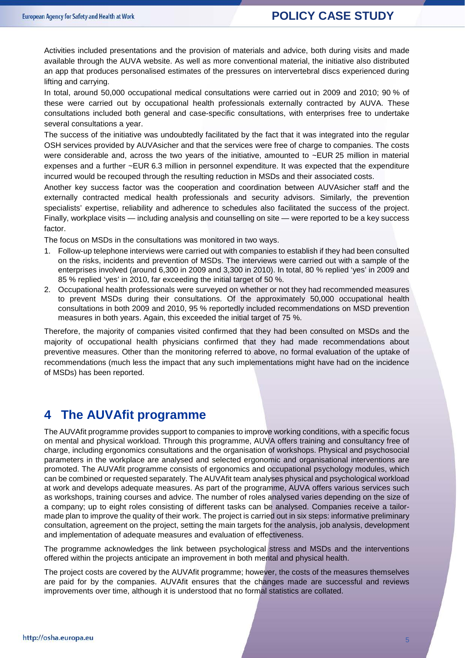#### **POLICY CASE STUDY**

Activities included presentations and the provision of materials and advice, both during visits and made available through the AUVA website. As well as more conventional material, the initiative also distributed an app that produces personalised estimates of the pressures on intervertebral discs experienced during lifting and carrying.

In total, around 50,000 occupational medical consultations were carried out in 2009 and 2010; 90 % of these were carried out by occupational health professionals externally contracted by AUVA. These consultations included both general and case-specific consultations, with enterprises free to undertake several consultations a year.

The success of the initiative was undoubtedly facilitated by the fact that it was integrated into the regular OSH services provided by AUVAsicher and that the services were free of charge to companies. The costs were considerable and, across the two years of the initiative, amounted to ~EUR 25 million in material expenses and a further ~EUR 6.3 million in personnel expenditure. It was expected that the expenditure incurred would be recouped through the resulting reduction in MSDs and their associated costs.

Another key success factor was the cooperation and coordination between AUVAsicher staff and the externally contracted medical health professionals and security advisors. Similarly, the prevention specialists' expertise, reliability and adherence to schedules also facilitated the success of the project. Finally, workplace visits — including analysis and counselling on site — were reported to be a key success factor.

The focus on MSDs in the consultations was monitored in two ways.

- 1. Follow-up telephone interviews were carried out with companies to establish if they had been consulted on the risks, incidents and prevention of MSDs. The interviews were carried out with a sample of the enterprises involved (around 6,300 in 2009 and 3,300 in 2010). In total, 80 % replied 'yes' in 2009 and 85 % replied 'yes' in 2010, far exceeding the initial target of 50 %.
- 2. Occupational health professionals were surveyed on whether or not they had recommended measures to prevent MSDs during their consultations. Of the approximately 50,000 occupational health consultations in both 2009 and 2010, 95 % reportedly included recommendations on MSD prevention measures in both years. Again, this exceeded the initial target of 75 %.

Therefore, the majority of companies visited confirmed that they had been consulted on MSDs and the majority of occupational health physicians confirmed that they had made recommendations about preventive measures. Other than the monitoring referred to above, no formal evaluation of the uptake of recommendations (much less the impact that any such implementations might have had on the incidence of MSDs) has been reported.

### **4 The AUVAfit programme**

The AUVAfit programme provides support to companies to improve working conditions, with a specific focus on mental and physical workload. Through this programme, AUVA offers training and consultancy free of charge, including ergonomics consultations and the organisation of workshops. Physical and psychosocial parameters in the workplace are analysed and selected ergonomic and organisational interventions are promoted. The AUVAfit programme consists of ergonomics and occupational psychology modules, which can be combined or requested separately. The AUVAfit team analyses physical and psychological workload at work and develops adequate measures. As part of the programme, AUVA offers various services such as workshops, training courses and advice. The number of roles analysed varies depending on the size of a company; up to eight roles consisting of different tasks can be analysed. Companies receive a tailormade plan to improve the quality of their work. The project is carried out in six steps: informative preliminary consultation, agreement on the project, setting the main targets for the analysis, job analysis, development and implementation of adequate measures and evaluation of effectiveness.

The programme acknowledges the link between psychological stress and MSDs and the interventions offered within the projects anticipate an improvement in both mental and physical health.

The project costs are covered by the AUVAfit programme; however, the costs of the measures themselves are paid for by the companies. AUVAfit ensures that the changes made are successful and reviews improvements over time, although it is understood that no formal statistics are collated.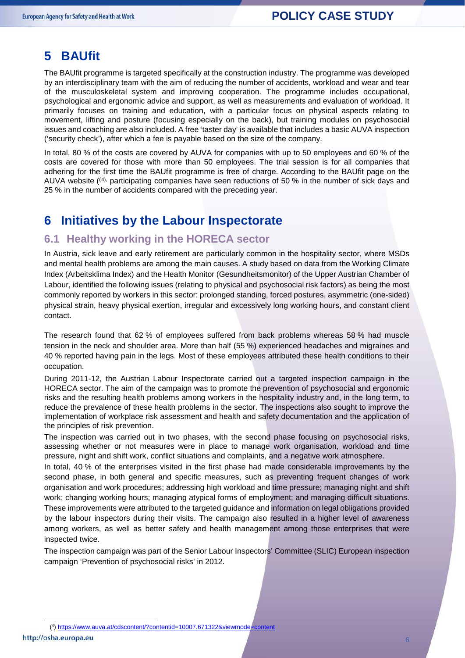## **5 BAUfit**

The BAUfit programme is targeted specifically at the construction industry. The programme was developed by an interdisciplinary team with the aim of reducing the number of accidents, workload and wear and tear of the musculoskeletal system and improving cooperation. The programme includes occupational, psychological and ergonomic advice and support, as well as measurements and evaluation of workload. It primarily focuses on training and education, with a particular focus on physical aspects relating to movement, lifting and posture (focusing especially on the back), but training modules on psychosocial issues and coaching are also included. A free 'taster day' is available that includes a basic AUVA inspection ('security check'), after which a fee is payable based on the size of the company.

In total, 80 % of the costs are covered by AUVA for companies with up to 50 employees and 60 % of the costs are covered for those with more than 50 employees. The trial session is for all companies that adhering for the first time the BAUfit programme is free of charge. According to the BAUfit page on the AUVA website  $(4)$  $(4)$  $(4)$ , participating companies have seen reductions of 50 % in the number of sick days and 25 % in the number of accidents compared with the preceding year.

## **6 Initiatives by the Labour Inspectorate**

#### **6.1 Healthy working in the HORECA sector**

In Austria, sick leave and early retirement are particularly common in the hospitality sector, where MSDs and mental health problems are among the main causes. A study based on data from the Working Climate Index (Arbeitsklima Index) and the Health Monitor (Gesundheitsmonitor) of the Upper Austrian Chamber of Labour, identified the following issues (relating to physical and psychosocial risk factors) as being the most commonly reported by workers in this sector: prolonged standing, forced postures, asymmetric (one-sided) physical strain, heavy physical exertion, irregular and excessively long working hours, and constant client contact.

The research found that 62 % of employees suffered from back problems whereas 58 % had muscle tension in the neck and shoulder area. More than half (55 %) experienced headaches and migraines and 40 % reported having pain in the legs. Most of these employees attributed these health conditions to their occupation.

During 2011-12, the Austrian Labour Inspectorate carried out a targeted inspection campaign in the HORECA sector. The aim of the campaign was to promote the prevention of psychosocial and ergonomic risks and the resulting health problems among workers in the hospitality industry and, in the long term, to reduce the prevalence of these health problems in the sector. The inspections also sought to improve the implementation of workplace risk assessment and health and safety documentation and the application of the principles of risk prevention.

The inspection was carried out in two phases, with the second phase focusing on psychosocial risks, assessing whether or not measures were in place to manage work organisation, workload and time pressure, night and shift work, conflict situations and complaints, and a negative work atmosphere.

In total, 40 % of the enterprises visited in the first phase had made considerable improvements by the second phase, in both general and specific measures, such as preventing frequent changes of work organisation and work procedures; addressing high workload and time pressure; managing night and shift work; changing working hours; managing atypical forms of employment; and managing difficult situations. These improvements were attributed to the targeted guidance and information on legal obligations provided by the labour inspectors during their visits. The campaign also resulted in a higher level of awareness among workers, as well as better safety and health management among those enterprises that were inspected twice.

The inspection campaign was part of the Senior Labour Inspectors' Committee (SLIC) European inspection campaign 'Prevention of psychosocial risks' in 2012.

<span id="page-5-0"></span>http://osha.europa.eu

6

 <sup>(</sup> 4 )<https://www.auva.at/cdscontent/?contentid=10007.671322&viewmode=content>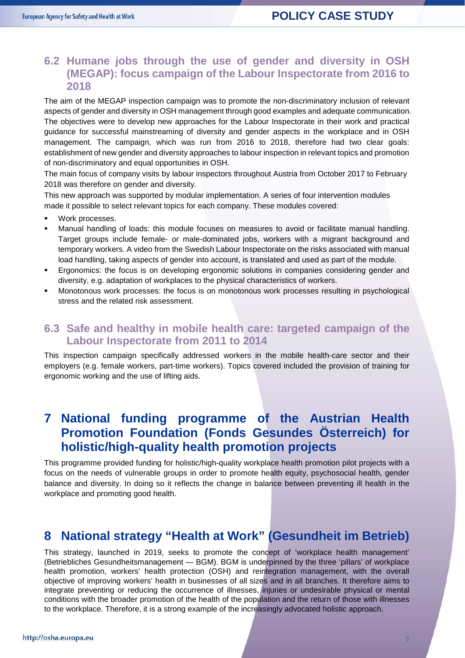#### **6.2 Humane jobs through the use of gender and diversity in OSH (MEGAP): focus campaign of the Labour Inspectorate from 2016 to 2018**

The aim of the MEGAP inspection campaign was to promote the non-discriminatory inclusion of relevant aspects of gender and diversity in OSH management through good examples and adequate communication. The objectives were to develop new approaches for the Labour Inspectorate in their work and practical guidance for successful mainstreaming of diversity and gender aspects in the workplace and in OSH management. The campaign, which was run from 2016 to 2018, therefore had two clear goals: establishment of new gender and diversity approaches to labour inspection in relevant topics and promotion of non-discriminatory and equal opportunities in OSH.

The main focus of company visits by labour inspectors throughout Austria from October 2017 to February 2018 was therefore on gender and diversity.

This new approach was supported by modular implementation. A series of four intervention modules made it possible to select relevant topics for each company. These modules covered:

- Work processes.
- Manual handling of loads: this module focuses on measures to avoid or facilitate manual handling. Target groups include female- or male-dominated jobs, workers with a migrant background and temporary workers. A video from the Swedish Labour Inspectorate on the risks associated with manual load handling, taking aspects of gender into account, is translated and used as part of the module.
- Ergonomics: the focus is on developing ergonomic solutions in companies considering gender and diversity, e.g. adaptation of workplaces to the physical characteristics of workers.
- Monotonous work processes: the focus is on monotonous work processes resulting in psychological stress and the related risk assessment.

#### **6.3 Safe and healthy in mobile health care: targeted campaign of the Labour Inspectorate from 2011 to 2014**

This inspection campaign specifically addressed workers in the mobile health-care sector and their employers (e.g. female workers, part-time workers). Topics covered included the provision of training for ergonomic working and the use of lifting aids.

## **7 National funding programme of the Austrian Health Promotion Foundation (Fonds Gesundes Österreich) for holistic/high-quality health promotion projects**

This programme provided funding for holistic/high-quality workplace health promotion pilot projects with a focus on the needs of vulnerable groups in order to promote health equity, psychosocial health, gender balance and diversity. In doing so it reflects the change in balance between preventing ill health in the workplace and promoting good health.

## **8 National strategy "Health at Work" (Gesundheit im Betrieb)**

This strategy, launched in 2019, seeks to promote the concept of 'workplace health management' (Betriebliches Gesundheitsmanagement — BGM). BGM is underpinned by the three 'pillars' of workplace health promotion, workers' health protection (OSH) and reintegration management, with the overall objective of improving workers' health in businesses of all sizes and in all branches. It therefore aims to integrate preventing or reducing the occurrence of illnesses, injuries or undesirable physical or mental conditions with the broader promotion of the health of the population and the return of those with illnesses to the workplace. Therefore, it is a strong example of the increasingly advocated holistic approach.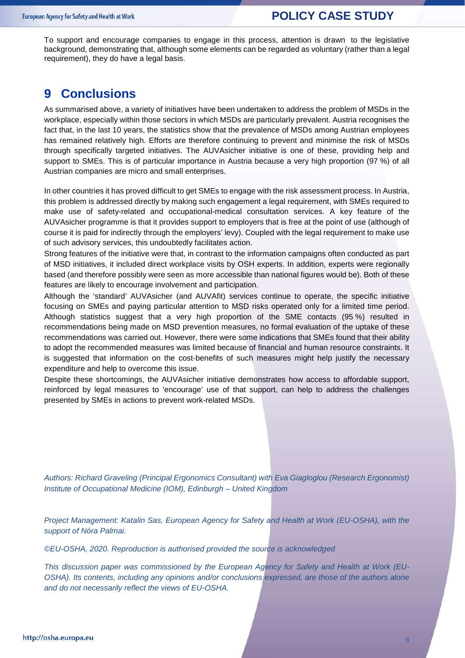To support and encourage companies to engage in this process, attention is drawn to the legislative background, demonstrating that, although some elements can be regarded as voluntary (rather than a legal requirement), they do have a legal basis.

## **9 Conclusions**

As summarised above, a variety of initiatives have been undertaken to address the problem of MSDs in the workplace, especially within those sectors in which MSDs are particularly prevalent. Austria recognises the fact that, in the last 10 years, the statistics show that the prevalence of MSDs among Austrian employees has remained relatively high. Efforts are therefore continuing to prevent and minimise the risk of MSDs through specifically targeted initiatives. The AUVAsicher initiative is one of these, providing help and support to SMEs. This is of particular importance in Austria because a very high proportion (97 %) of all Austrian companies are micro and small enterprises.

In other countries it has proved difficult to get SMEs to engage with the risk assessment process. In Austria, this problem is addressed directly by making such engagement a legal requirement, with SMEs required to make use of safety-related and occupational-medical consultation services. A key feature of the AUVAsicher programme is that it provides support to employers that is free at the point of use (although of course it is paid for indirectly through the employers' levy). Coupled with the legal requirement to make use of such advisory services, this undoubtedly facilitates action.

Strong features of the initiative were that, in contrast to the information campaigns often conducted as part of MSD initiatives, it included direct workplace visits by OSH experts. In addition, experts were regionally based (and therefore possibly were seen as more accessible than national figures would be). Both of these features are likely to encourage involvement and participation.

Although the 'standard' AUVAsicher (and AUVAfit) services continue to operate, the specific initiative focusing on SMEs and paying particular attention to MSD risks operated only for a limited time period. Although statistics suggest that a very high proportion of the SME contacts (95 %) resulted in recommendations being made on MSD prevention measures, no formal evaluation of the uptake of these recommendations was carried out. However, there were some indications that SMEs found that their ability to adopt the recommended measures was limited because of financial and human resource constraints. It is suggested that information on the cost-benefits of such measures might help justify the necessary expenditure and help to overcome this issue.

Despite these shortcomings, the AUVAsicher initiative demonstrates how access to affordable support, reinforced by legal measures to 'encourage' use of that support, can help to address the challenges presented by SMEs in actions to prevent work-related MSDs.

*Authors: Richard Graveling (Principal Ergonomics Consultant) with Eva Giagloglou (Research Ergonomist) Institute of Occupational Medicine (IOM), Edinburgh – United Kingdom*

*Project Management: Katalin Sas, European Agency for Safety and Health at Work (EU-OSHA), with the support of Nóra Palmai.*

*©EU-OSHA, 2020. Reproduction is authorised provided the source is acknowledged* 

*This discussion paper was commissioned by the European Agency for Safety and Health at Work (EU-OSHA). Its contents, including any opinions and/or conclusions expressed, are those of the authors alone and do not necessarily reflect the views of EU-OSHA.*